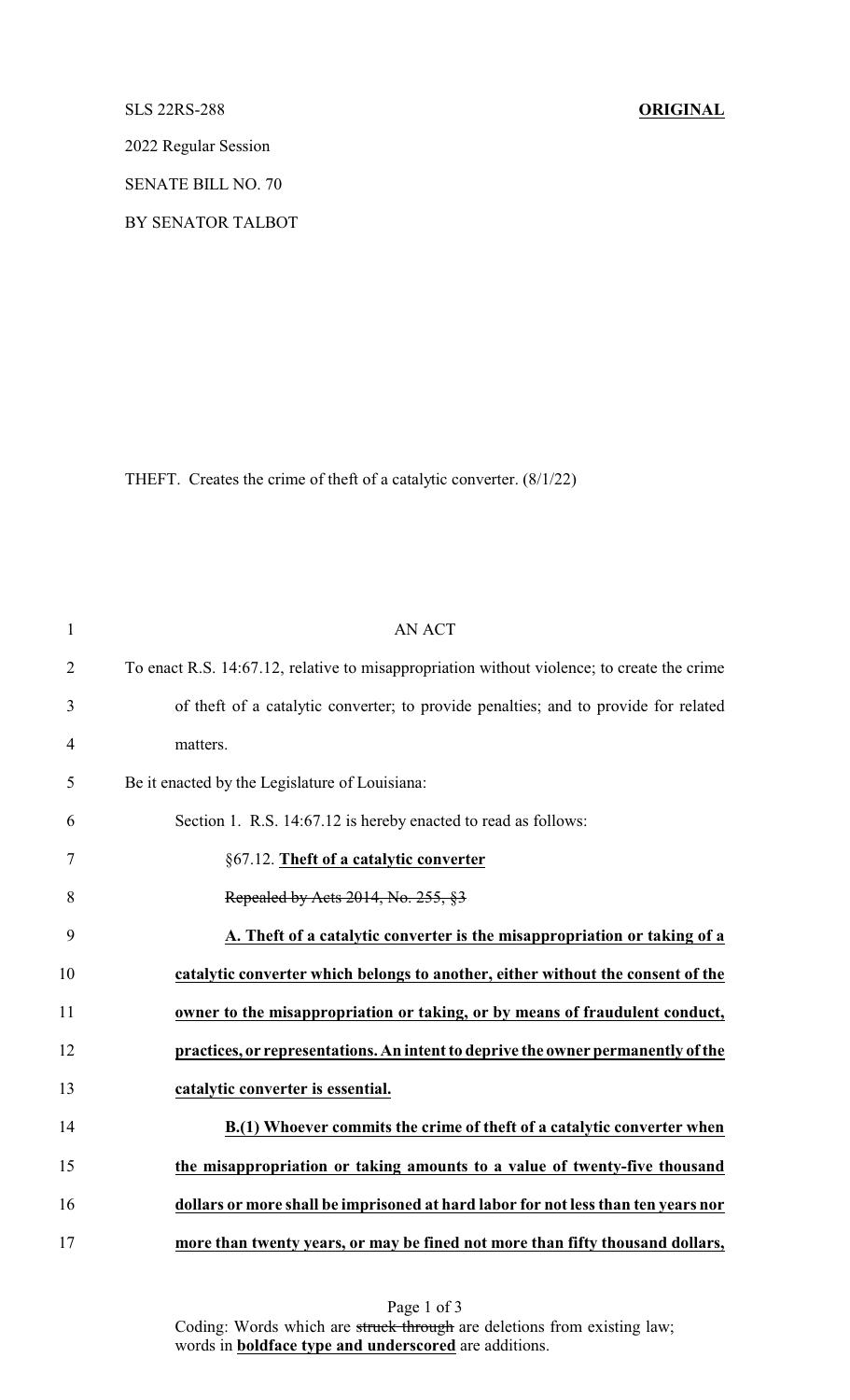SLS 22RS-288 **ORIGINAL**

2022 Regular Session

SENATE BILL NO. 70

BY SENATOR TALBOT

THEFT. Creates the crime of theft of a catalytic converter. (8/1/22)

| $\mathbf{1}$   | <b>AN ACT</b>                                                                              |
|----------------|--------------------------------------------------------------------------------------------|
| $\overline{2}$ | To enact R.S. 14:67.12, relative to misappropriation without violence; to create the crime |
| 3              | of the ft of a catalytic converter; to provide penalties; and to provide for related       |
| 4              | matters.                                                                                   |
| 5              | Be it enacted by the Legislature of Louisiana:                                             |
| 6              | Section 1. R.S. 14:67.12 is hereby enacted to read as follows:                             |
| 7              | §67.12. Theft of a catalytic converter                                                     |
| 8              | Repealed by Acts 2014, No. 255, §3                                                         |
| 9              | A. Theft of a catalytic converter is the misappropriation or taking of a                   |
| 10             | catalytic converter which belongs to another, either without the consent of the            |
| 11             | owner to the misappropriation or taking, or by means of fraudulent conduct,                |
| 12             | practices, or representations. An intent to deprive the owner permanently of the           |
| 13             | catalytic converter is essential.                                                          |
| 14             | B.(1) Whoever commits the crime of theft of a catalytic converter when                     |
| 15             | the misappropriation or taking amounts to a value of twenty-five thousand                  |
| 16             | dollars or more shall be imprisoned at hard labor for not less than ten years nor          |
| 17             | more than twenty years, or may be fined not more than fifty thousand dollars,              |

Page 1 of 3 Coding: Words which are struck through are deletions from existing law; words in **boldface type and underscored** are additions.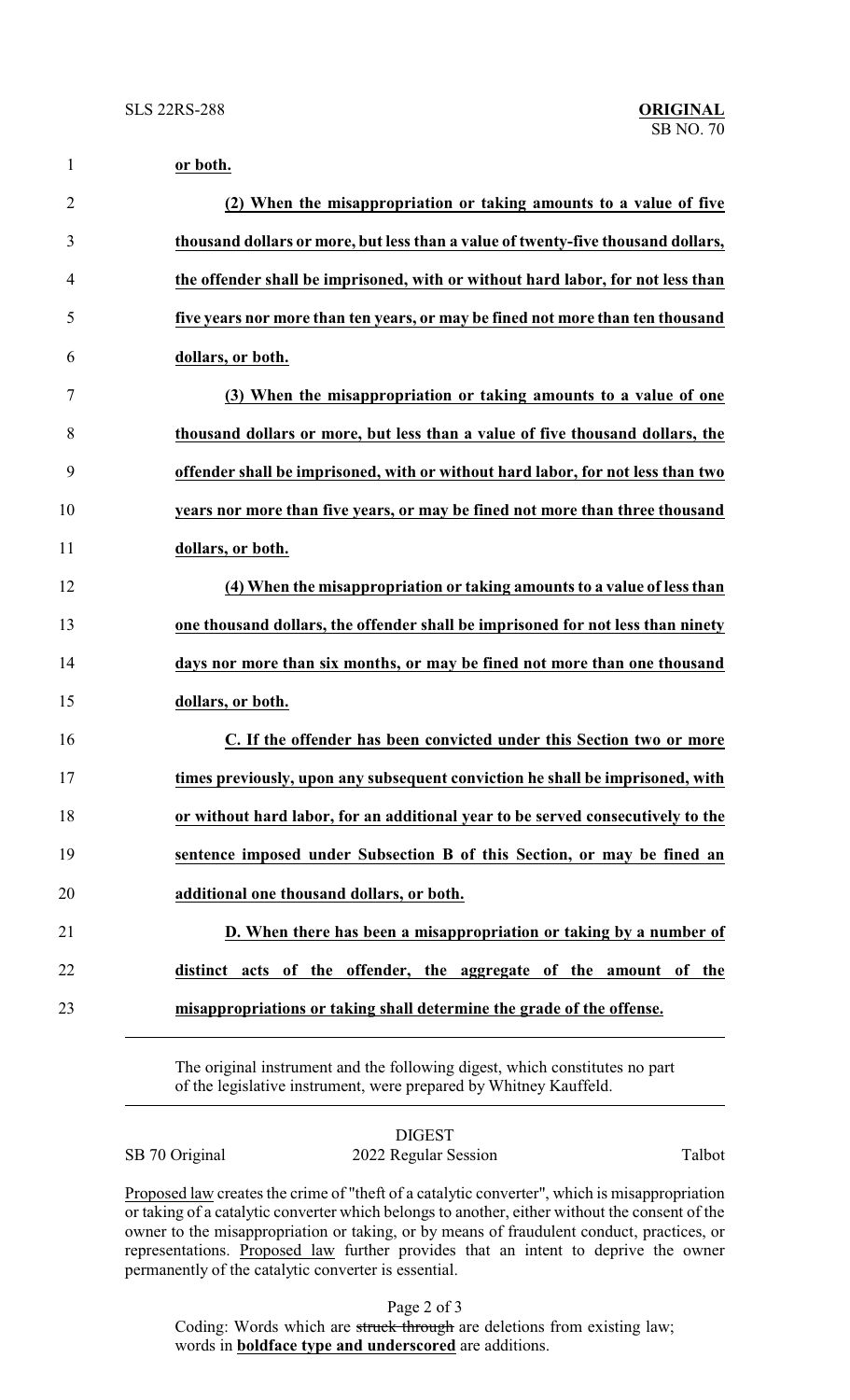| $\mathbf{1}$   | or both.                                                                         |
|----------------|----------------------------------------------------------------------------------|
| $\overline{2}$ | (2) When the misappropriation or taking amounts to a value of five               |
| 3              | thousand dollars or more, but less than a value of twenty-five thousand dollars, |
| 4              | the offender shall be imprisoned, with or without hard labor, for not less than  |
| 5              | five years nor more than ten years, or may be fined not more than ten thousand   |
| 6              | dollars, or both.                                                                |
| 7              | (3) When the misappropriation or taking amounts to a value of one                |
| 8              | thousand dollars or more, but less than a value of five thousand dollars, the    |
| 9              | offender shall be imprisoned, with or without hard labor, for not less than two  |
| 10             | years nor more than five years, or may be fined not more than three thousand     |
| 11             | dollars, or both.                                                                |
| 12             | (4) When the misappropriation or taking amounts to a value of less than          |
| 13             | one thousand dollars, the offender shall be imprisoned for not less than ninety  |
| 14             | days nor more than six months, or may be fined not more than one thousand        |
| 15             | dollars, or both.                                                                |
| 16             | C. If the offender has been convicted under this Section two or more             |
| 17             | times previously, upon any subsequent conviction he shall be imprisoned, with    |
| 18             | or without hard labor, for an additional year to be served consecutively to the  |
| 19             | sentence imposed under Subsection B of this Section, or may be fined an          |
| 20             | additional one thousand dollars, or both.                                        |
| 21             | D. When there has been a misappropriation or taking by a number of               |
| 22             | distinct acts of the offender, the aggregate of the amount of the                |
| 23             | misappropriations or taking shall determine the grade of the offense.            |
|                |                                                                                  |

The original instrument and the following digest, which constitutes no part of the legislative instrument, were prepared by Whitney Kauffeld.

| SB 70 Original |  |
|----------------|--|
|----------------|--|

DIGEST 2022 Regular Session Talbot

Proposed law creates the crime of "theft of a catalytic converter", which is misappropriation or taking of a catalytic converter which belongs to another, either without the consent of the owner to the misappropriation or taking, or by means of fraudulent conduct, practices, or representations. Proposed law further provides that an intent to deprive the owner permanently of the catalytic converter is essential.

Page 2 of 3

Coding: Words which are struck through are deletions from existing law; words in **boldface type and underscored** are additions.